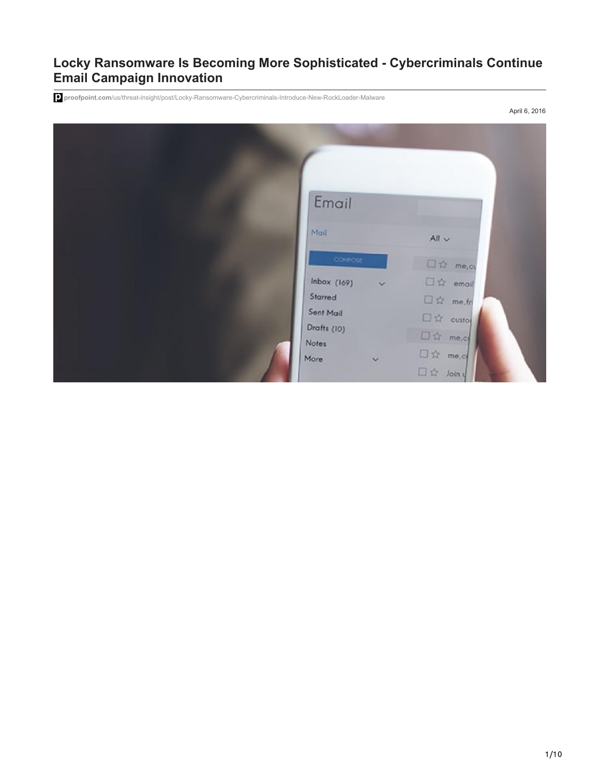# **Locky Ransomware Is Becoming More Sophisticated - Cybercriminals Continue Email Campaign Innovation**

**proofpoint.com**[/us/threat-insight/post/Locky-Ransomware-Cybercriminals-Introduce-New-RockLoader-Malware](https://www.proofpoint.com/us/threat-insight/post/Locky-Ransomware-Cybercriminals-Introduce-New-RockLoader-Malware)

April 6, 2016

| Email                             |             |                                                       |
|-----------------------------------|-------------|-------------------------------------------------------|
| Mail                              |             | $All \vee$                                            |
| COMPOSE                           |             | $\square \ntriangle$ me,ct                            |
| Inbox (169)<br>Starred            | $\check{~}$ | $\square$ $\hat{w}$ email<br>$\square$ $\Omega$ me.fn |
| Sent Mail<br>Drafts (10)<br>Notes |             | $\square$ $\simeq$ custor<br>$\square \triangle$ me.c |
| More                              | $\ddot{\,}$ | $\square$ $\uparrow$ me.c<br>$\Box \, \hat{p}$ Join y |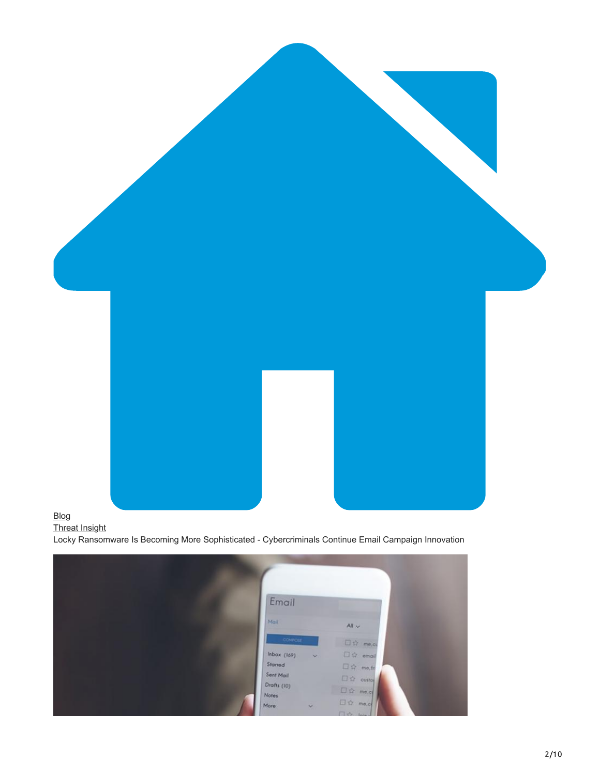

# [Blog](https://www.proofpoint.com/us/blog)

[Threat Insight](https://www.proofpoint.com/us/blog/threat-insight) Locky Ransomware Is Becoming More Sophisticated - Cybercriminals Continue Email Campaign Innovation

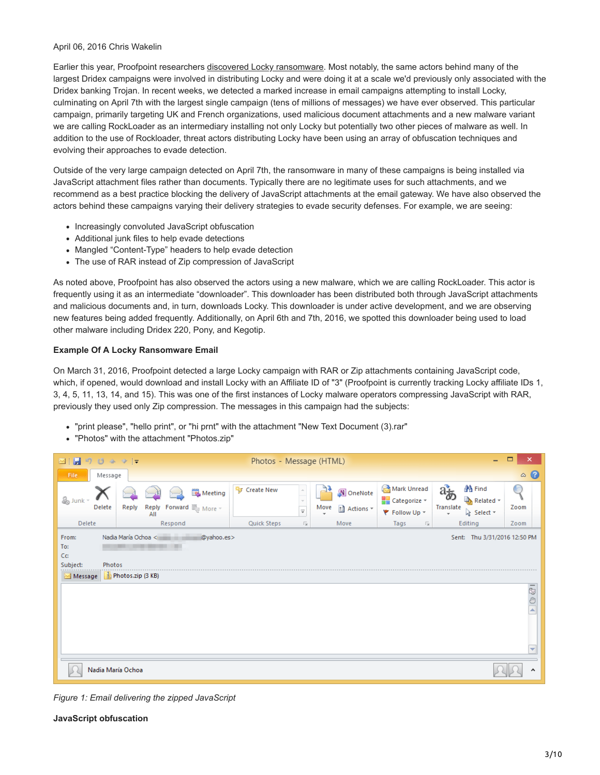#### April 06, 2016 Chris Wakelin

Earlier this year, Proofpoint researchers [discovered Locky ransomware](http://proofpoint.com/us/threat-insight/post/Dridex-Actors-Get-In-the-Ransomware-Game-With-Locky). Most notably, the same actors behind many of the largest Dridex campaigns were involved in distributing Locky and were doing it at a scale we'd previously only associated with the Dridex banking Trojan. In recent weeks, we detected a marked increase in email campaigns attempting to install Locky, culminating on April 7th with the largest single campaign (tens of millions of messages) we have ever observed. This particular campaign, primarily targeting UK and French organizations, used malicious document attachments and a new malware variant we are calling RockLoader as an intermediary installing not only Locky but potentially two other pieces of malware as well. In addition to the use of Rockloader, threat actors distributing Locky have been using an array of obfuscation techniques and evolving their approaches to evade detection.

Outside of the very large campaign detected on April 7th, the ransomware in many of these campaigns is being installed via JavaScript attachment files rather than documents. Typically there are no legitimate uses for such attachments, and we recommend as a best practice blocking the delivery of JavaScript attachments at the email gateway. We have also observed the actors behind these campaigns varying their delivery strategies to evade security defenses. For example, we are seeing:

- Increasingly convoluted JavaScript obfuscation
- Additional junk files to help evade detections
- Mangled "Content-Type" headers to help evade detection
- The use of RAR instead of Zip compression of JavaScript

As noted above, Proofpoint has also observed the actors using a new malware, which we are calling RockLoader. This actor is frequently using it as an intermediate "downloader". This downloader has been distributed both through JavaScript attachments and malicious documents and, in turn, downloads Locky. This downloader is under active development, and we are observing new features being added frequently. Additionally, on April 6th and 7th, 2016, we spotted this downloader being used to load other malware including Dridex 220, Pony, and Kegotip.

### **Example Of A Locky Ransomware Email**

On March 31, 2016, Proofpoint detected a large Locky campaign with RAR or Zip attachments containing JavaScript code, which, if opened, would download and install Locky with an Affiliate ID of "3" (Proofpoint is currently tracking Locky affiliate IDs 1, 3, 4, 5, 11, 13, 14, and 15). This was one of the first instances of Locky malware operators compressing JavaScript with RAR, previously they used only Zip compression. The messages in this campaign had the subjects:

- "print please", "hello print", or "hi prnt" with the attachment "New Text Document (3).rar"
- "Photos" with the attachment "Photos.zip"

| $\Box$<br>$\times$<br>H<br>Photos - Message (HTML)<br><b>RO</b><br>$\triangledown$ $\vert$ $\downarrow$<br>35<br>$\Delta$<br>-<br>⊠           |         |       |              |                                    |                         |                           |      |                          |                                                         |                                                                                                 |                   |   |
|-----------------------------------------------------------------------------------------------------------------------------------------------|---------|-------|--------------|------------------------------------|-------------------------|---------------------------|------|--------------------------|---------------------------------------------------------|-------------------------------------------------------------------------------------------------|-------------------|---|
| File                                                                                                                                          | Message |       |              |                                    |                         |                           |      |                          |                                                         |                                                                                                 | $\circ$ $\bullet$ |   |
| & Junk                                                                                                                                        | Delete  | Reply | Reply<br>All | Meeting<br><b>Forward</b> 的 More ~ | <sup>毒</sup> Create New | $\frac{1}{\pi}$           | Move | N OneNote<br>ि Actions ▼ | Mark Unread<br><b>ALC</b> Categorize v<br>₹ Follow Up ▼ | <b>st</b> Find<br>$a_{\overline{\phi}}$<br>Related *<br>Translate<br>p Select ▼<br>$\mathbf{r}$ | Zoom              |   |
| <b>Delete</b>                                                                                                                                 |         |       | Respond      |                                    | Quick Steps             | $\overline{\mathbb{F}_M}$ |      | Move                     | Tags<br>Б.                                              | Editing                                                                                         | Zoom              |   |
| Nadia María Ochoa <<br>@yahoo.es><br>From:<br>Sent: Thu 3/31/2016 12:50 PM<br>To:<br>Cc<br>Subject:<br>Photos<br>Photos.zip (3 KB)<br>Message |         |       |              |                                    |                         |                           |      |                          |                                                         |                                                                                                 |                   |   |
| 1590 C                                                                                                                                        |         |       |              |                                    |                         |                           |      |                          |                                                         |                                                                                                 |                   |   |
|                                                                                                                                               |         |       |              |                                    |                         |                           |      |                          |                                                         |                                                                                                 |                   | ▼ |
| Nadia María Ochoa<br>۸                                                                                                                        |         |       |              |                                    |                         |                           |      |                          |                                                         |                                                                                                 |                   |   |

*Figure 1: Email delivering the zipped JavaScript*

#### **JavaScript obfuscation**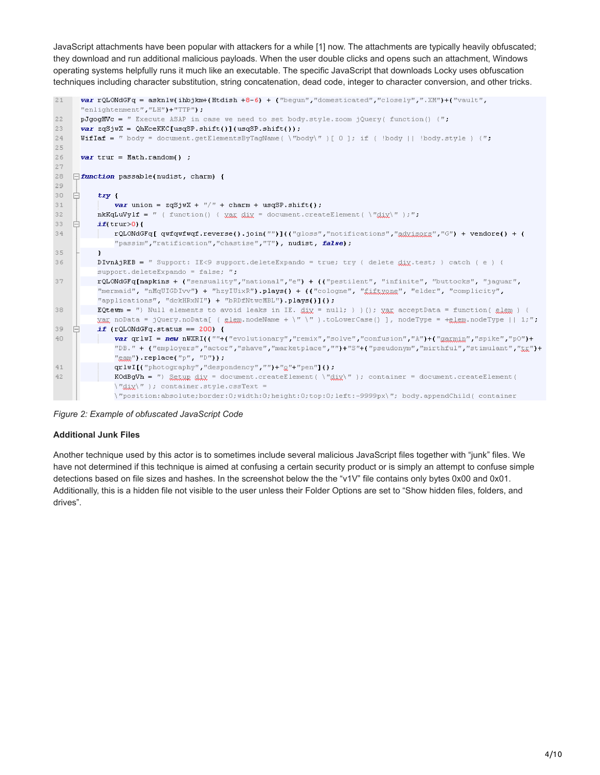JavaScript attachments have been popular with attackers for a while [1] now. The attachments are typically heavily obfuscated; they download and run additional malicious payloads. When the user double clicks and opens such an attachment, Windows operating systems helpfully runs it much like an executable. The specific JavaScript that downloads Locky uses obfuscation techniques including character substitution, string concatenation, dead code, integer to character conversion, and other tricks.

```
21var rQLONdGFq = asknlw(ihbjkm+(Htdish +8-6) + ("begun","domesticated","closely",".XM")+("vault",
      "enlightenment", "LH")+"TTP");
22
      pJgogHVc = " Execute ASAP in case we need to set body.style.zoom jQuery( function() {";
2\,3var zqSjwX = QhKceKKC[usqSP.shift()](usqSP.shift());
24WifIaf = " body = document.getElementsByTagName( \"body\" )[ 0 ]; if ( !body || !body.style ) {";
25
26
      var trur = Math.random() ;
27
28 \Box function passable(nudist, charm) {
29
30
           try {
31var union = zqSjwX +<mark>"/" + charm + usqSP.shift();</mark>nkKqLwVylf = " (function) { \chigg \chi \chi = document.createElement ( \etadix\eta ); ";
32
33
          if(trun>0){
               rQLONdGFq[qwfqwfwqf.reverse().join("")](("gloss","notifications","adxiaaxa","G") + vendore() + (
34
               "passim", "ratification", "chastise", "T"), nudist, false);
3\,5\mathbf{I}DIVnAjREB = " Support: IE<9 support.deleteExpando = true; try { delete \frac{d}{dx}, test; } catch ( e ) {
36
          support.deleteExpando = false; ":
37
          rQLONdGFq[napkins + ("sensuality","national","e") + (("pestilent", "infinite", "buttocks", "jaguar",
           "mermaid", "nMqUIGDIvv") + "hzyIUixR").plays() + (("cologne", "fiitugne", "elder", "complicity",
           "applications", "dckHRxNI") + "bRDfNtwcMBL").plays()]();
38
          EQtewm = ") Null elements to avoid leaks in IE. \text{gix} = \text{null}; ) (); \text{ygx} acceptData = function(\text{g.lcm}) (
           xax noData = jQuery.noData[ ( elem.nodeName + \" \" ).toLowerCase() ], nodeType = +elem.nodeType || 1;";
39
          if (rQLONdGFq.status == 200) {
    日
              var qr1wI = new nWXRI((""+("evolutionary","remix","solve","confusion","A")+("gammin","spike","p0")+
40
               "DB." + ("employers", "actor", "shave", "marketplace", "")+"S"+("pseudonym", "mirthful", "stimulant", "tx")+
               "<sub>@300</sub>").replace("p", "D"));
4\,1\texttt{qrlwII} ("photography", "despondency", "")+"\texttt{Q"++"pen"I()} :
42
               KOdBgVh = ") Satur dix = document.createElement( \"dix\" ); container = document.createElement(
               \forall"dix\forall" ); container.style.cssText =
               \"position:absolute:border:0:width:0:height:0:top:0:left:-9999px\"; bodv.appendChild( container
```
*Figure 2: Example of obfuscated JavaScript Code*

# **Additional Junk Files**

Another technique used by this actor is to sometimes include several malicious JavaScript files together with "junk" files. We have not determined if this technique is aimed at confusing a certain security product or is simply an attempt to confuse simple detections based on file sizes and hashes. In the screenshot below the the "v1V" file contains only bytes 0x00 and 0x01. Additionally, this is a hidden file not visible to the user unless their Folder Options are set to "Show hidden files, folders, and drives".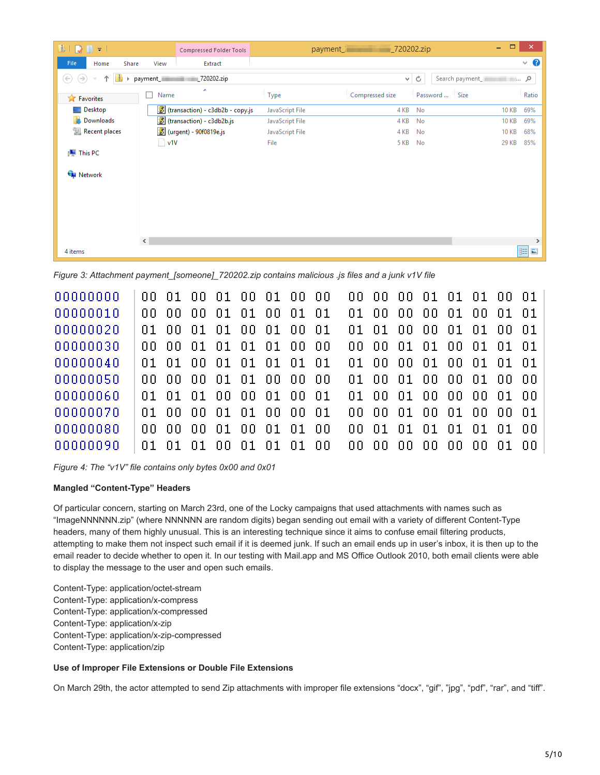| $\blacksquare \blacksquare \blacksquare \blacksquare \blacksquare \blacksquare \blacksquare \blacksquare \blacksquare \blacksquare$ |                | Compressed Folder Tools            |                 | payment_internal payment_1 |                            | $\Box$<br>÷, | $\boldsymbol{\times}$ |
|-------------------------------------------------------------------------------------------------------------------------------------|----------------|------------------------------------|-----------------|----------------------------|----------------------------|--------------|-----------------------|
| File<br>Share<br>Home                                                                                                               | View           | Extract                            |                 |                            |                            |              | $\vee$ 0              |
| $(\Leftrightarrow)$<br>$(\rightarrow)$<br>Þ.                                                                                        | payment_       | L720202.zip                        |                 |                            | $\vee$ 0<br>Search payment | م … ا        |                       |
| <b>X</b> Favorites                                                                                                                  | Name           | A                                  | Type            | Compressed size            | Password<br>Size           |              | Ratio                 |
| <b>Desktop</b>                                                                                                                      |                | 8 (transaction) - c3db2b - copy.js | JavaScript File | 4 KB                       | No                         | <b>10 KB</b> | 69%                   |
| <b>Downloads</b>                                                                                                                    |                | 8 (transaction) - c3db2b.js        | JavaScript File | 4 KB                       | No                         | <b>10 KB</b> | 69%                   |
| Recent places                                                                                                                       |                | 8 (urgent) - 90f0819e.js           | JavaScript File | 4 KB                       | No                         | <b>10 KB</b> | 68%                   |
|                                                                                                                                     | $\sqrt{1}$ v1V |                                    | File            | <b>5 KB</b>                | No                         | 29 KB        | 85%                   |
| <b>I</b> U This PC                                                                                                                  |                |                                    |                 |                            |                            |              |                       |
| <b>Network</b>                                                                                                                      | $\,$ $\,$      |                                    |                 |                            |                            |              | $\,>\,$               |
| 4 items                                                                                                                             |                |                                    |                 |                            |                            |              | 睚<br>$\blacksquare$   |

*Figure 3: Attachment payment\_[someone]\_720202.zip contains malicious .js files and a junk v1V file*

| 00000000 |       |      |                   |     | 00 01 00 01 00 01 00 00 |             |      |      | 00 00 00 01 01 01 00 01 |       |    |      |     |            |  |
|----------|-------|------|-------------------|-----|-------------------------|-------------|------|------|-------------------------|-------|----|------|-----|------------|--|
| 00000010 | nn.   | nn.  | $00\,$ $01$ $^-$  | 01  | -00                     | $01\quad01$ |      | 01.I | -00-                    | 00 00 |    | - 01 | 00. | $01\;\;01$ |  |
| 00000020 | n 1 - |      |                   |     | 00 01 01 00 01          | 00 01       |      |      | 01 01 00 00 01 01 00 01 |       |    |      |     |            |  |
| 00000030 |       |      |                   |     | 00 00 01 01 01 01 00 00 |             |      |      | 00 00 01 01 00 01 01 01 |       |    |      |     |            |  |
| 00000040 |       |      |                   |     | 01 01 00 01 01 01 01 01 |             |      |      | 01 00 00 01 00 01 01 01 |       |    |      |     |            |  |
| 00000050 |       |      | 00 00 00 01 01 00 |     |                         | -00-00      |      |      | 01 00 01 00 00 01 00 00 |       |    |      |     |            |  |
| 00000060 |       |      |                   |     | 01 01 01 00 00 01 00 01 |             |      |      | 01 00 01 00 00 00 01 00 |       |    |      |     |            |  |
| 00000070 |       |      | 01 00 00 01 01 00 |     |                         | . nn. ni    |      |      | 00 00 01 00 01 00 00 01 |       |    |      |     |            |  |
| 00000080 | nn.   | inn. | 00 01             | 00. | $_{\rm 01}$             | .ni nn      |      |      |                         |       |    |      |     |            |  |
| 00000090 |       |      | 01 01 01 00 01 01 |     |                         | n1 -        | - nn | nn.  | .nn                     | nn.   | ΩO | nn.  | nn. | ni no      |  |

*Figure 4: The "v1V" file contains only bytes 0x00 and 0x01*

# **Mangled "Content-Type" Headers**

Of particular concern, starting on March 23rd, one of the Locky campaigns that used attachments with names such as "ImageNNNNNN.zip" (where NNNNNN are random digits) began sending out email with a variety of different Content-Type headers, many of them highly unusual. This is an interesting technique since it aims to confuse email filtering products, attempting to make them not inspect such email if it is deemed junk. If such an email ends up in user's inbox, it is then up to the email reader to decide whether to open it. In our testing with Mail.app and MS Office Outlook 2010, both email clients were able to display the message to the user and open such emails.

Content-Type: application/octet-stream Content-Type: application/x-compress Content-Type: application/x-compressed Content-Type: application/x-zip Content-Type: application/x-zip-compressed Content-Type: application/zip

# **Use of Improper File Extensions or Double File Extensions**

On March 29th, the actor attempted to send Zip attachments with improper file extensions "docx", "gif", "jpg", "pdf", "rar", and "tiff".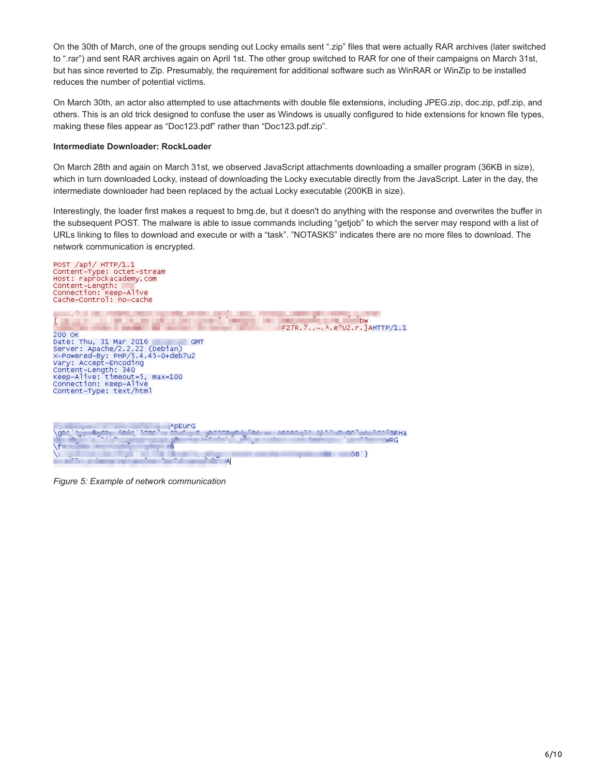On the 30th of March, one of the groups sending out Locky emails sent ".zip" files that were actually RAR archives (later switched to ".rar") and sent RAR archives again on April 1st. The other group switched to RAR for one of their campaigns on March 31st, but has since reverted to Zip. Presumably, the requirement for additional software such as WinRAR or WinZip to be installed reduces the number of potential victims.

On March 30th, an actor also attempted to use attachments with double file extensions, including JPEG.zip, doc.zip, pdf.zip, and others. This is an old trick designed to confuse the user as Windows is usually configured to hide extensions for known file types, making these files appear as "Doc123.pdf" rather than "Doc123.pdf.zip".

#### **Intermediate Downloader: RockLoader**

On March 28th and again on March 31st, we observed JavaScript attachments downloading a smaller program (36KB in size), which in turn downloaded Locky, instead of downloading the Locky executable directly from the JavaScript. Later in the day, the intermediate downloader had been replaced by the actual Locky executable (200KB in size).

Interestingly, the loader first makes a request to bmg.de, but it doesn't do anything with the response and overwrites the buffer in the subsequent POST. The malware is able to issue commands including "getjob" to which the server may respond with a list of URLs linking to files to download and execute or with a "task". "NOTASKS" indicates there are no more files to download. The network communication is encrypted.



*Figure 5: Example of network communication*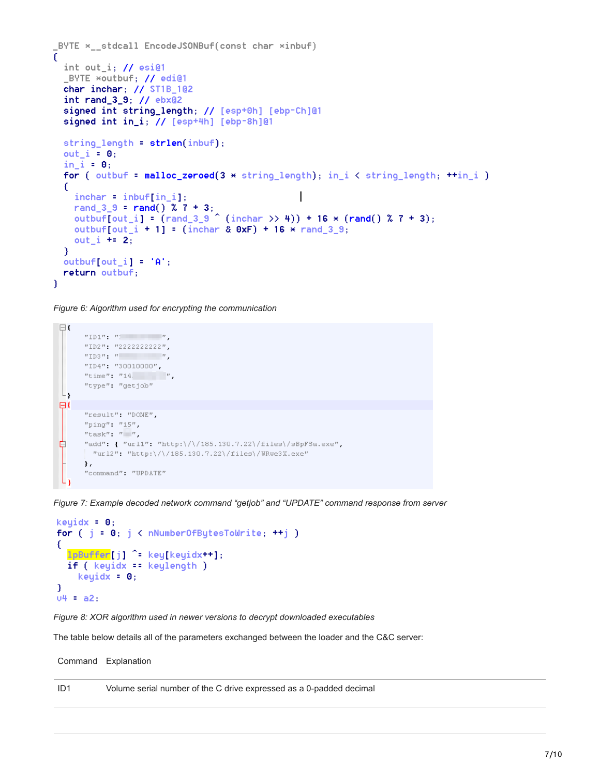```
BYTE \times stdcall EncodeJSONBuf(const char \timesinbuf)
f
  int out_i; // esi@1
  _BYTE *outbuf; // edi@1
  char inchar; // ST1B_1@2
  int rand_3_9; // ebx@2
  signed int string_length; // [esp+0h] [ebp-Ch]@1
  signed int in_i; // [esp+4h] [ebp-8h]@1
  string_length = strlen(inbuf);
  out_i = 0;in i = 0;
  for (outbuf = malloc_zeroed(3 * string length); in i < string length; +in i )
  £
    inchar = inbufflin i]:
    rand_3_9 = rand() X 7 + 3;<br>outbuf[out_i] = rand_3_9 ^ (inchar \gg 4)) + 16 *(rand() X 7 + 3);
    outbuf[out_i + 1] = (inchar & 0xF) + 16 \times rand_3_9;
    out i + 2;
  <sup>1</sup>
  output[i] = 'A';return outbuf;
\mathcal{F}
```
*Figure 6: Algorithm used for encrypting the communication*

```
\boxminus {
          \label{eq:2.1} ^{n}\mathbb{ID} \mathbb{1}^n \equiv \left\lceil \frac{n}{n} \right\rceil \qquad \qquad \left\lceil \frac{n}{n} \right\rceil"ID2": "2222222222"
          \texttt{"ID3"} \qquad \texttt{"}\qquad \qquad \texttt{"}\qquad \qquad \texttt{"}\qquad \qquad \texttt{"}"ID4" : "30010000" :"time" : "14" \qquad \qquad """type": "getjob"L_{\mathbf{1}}⊟Κ
          "result" : "DONE".
          "ping" : "15".
          "task": """.
₿
          "add": { "url1": "http:\/\/185.130.7.22\/files\/sBpFSa.exe",
           "url2": "http:\/\/185.130.7.22\/files\/WRwe3X.exe"
          },
          "command": "UPDATE"
```
*Figure 7: Example decoded network command "getjob" and "UPDATE" command response from server*

```
keuidx = 0:
for (j = 0; j < nNumberOfBytesToWrite; ++j)
€
  lpBuffer[j] ^= key[keyidx++];
  if (keyidx == keylength)keyidx = 0;<sup>1</sup>
04 = a2:
```
*Figure 8: XOR algorithm used in newer versions to decrypt downloaded executables*

The table below details all of the parameters exchanged between the loader and the C&C server:

Command Explanation

ID1 Volume serial number of the C drive expressed as a 0-padded decimal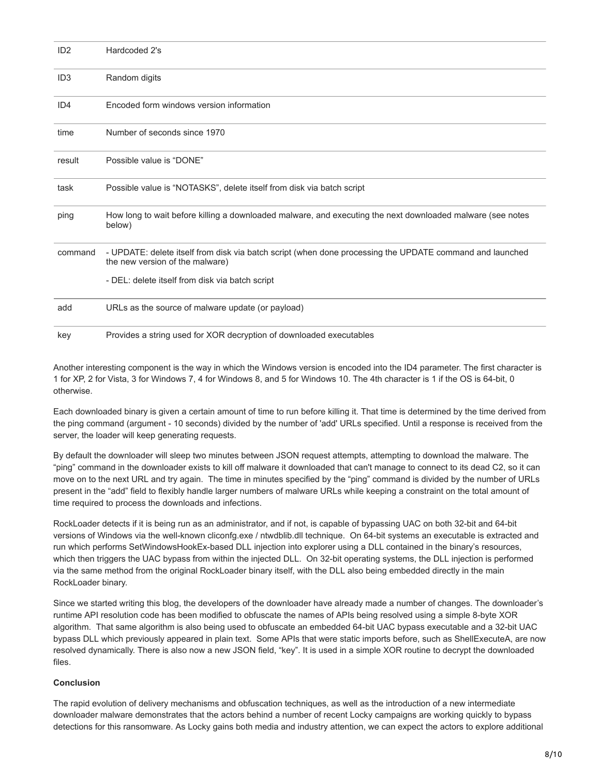| ID2             | Hardcoded 2's                                                                                                                               |
|-----------------|---------------------------------------------------------------------------------------------------------------------------------------------|
| ID <sub>3</sub> | Random digits                                                                                                                               |
| ID4             | Encoded form windows version information                                                                                                    |
| time            | Number of seconds since 1970                                                                                                                |
| result          | Possible value is "DONE"                                                                                                                    |
| task            | Possible value is "NOTASKS", delete itself from disk via batch script                                                                       |
| ping            | How long to wait before killing a downloaded malware, and executing the next downloaded malware (see notes<br>below)                        |
| command         | - UPDATE: delete itself from disk via batch script (when done processing the UPDATE command and launched<br>the new version of the malware) |
|                 | - DEL: delete itself from disk via batch script                                                                                             |
| add             | URLs as the source of malware update (or payload)                                                                                           |
| key             | Provides a string used for XOR decryption of downloaded executables                                                                         |

Another interesting component is the way in which the Windows version is encoded into the ID4 parameter. The first character is 1 for XP, 2 for Vista, 3 for Windows 7, 4 for Windows 8, and 5 for Windows 10. The 4th character is 1 if the OS is 64-bit, 0 otherwise.

Each downloaded binary is given a certain amount of time to run before killing it. That time is determined by the time derived from the ping command (argument - 10 seconds) divided by the number of 'add' URLs specified. Until a response is received from the server, the loader will keep generating requests.

By default the downloader will sleep two minutes between JSON request attempts, attempting to download the malware. The "ping" command in the downloader exists to kill off malware it downloaded that can't manage to connect to its dead C2, so it can move on to the next URL and try again. The time in minutes specified by the "ping" command is divided by the number of URLs present in the "add" field to flexibly handle larger numbers of malware URLs while keeping a constraint on the total amount of time required to process the downloads and infections.

RockLoader detects if it is being run as an administrator, and if not, is capable of bypassing UAC on both 32-bit and 64-bit versions of Windows via the well-known cliconfg.exe / ntwdblib.dll technique. On 64-bit systems an executable is extracted and run which performs SetWindowsHookEx-based DLL injection into explorer using a DLL contained in the binary's resources, which then triggers the UAC bypass from within the injected DLL. On 32-bit operating systems, the DLL injection is performed via the same method from the original RockLoader binary itself, with the DLL also being embedded directly in the main RockLoader binary.

Since we started writing this blog, the developers of the downloader have already made a number of changes. The downloader's runtime API resolution code has been modified to obfuscate the names of APIs being resolved using a simple 8-byte XOR algorithm. That same algorithm is also being used to obfuscate an embedded 64-bit UAC bypass executable and a 32-bit UAC bypass DLL which previously appeared in plain text. Some APIs that were static imports before, such as ShellExecuteA, are now resolved dynamically. There is also now a new JSON field, "key". It is used in a simple XOR routine to decrypt the downloaded files.

# **Conclusion**

The rapid evolution of delivery mechanisms and obfuscation techniques, as well as the introduction of a new intermediate downloader malware demonstrates that the actors behind a number of recent Locky campaigns are working quickly to bypass detections for this ransomware. As Locky gains both media and industry attention, we can expect the actors to explore additional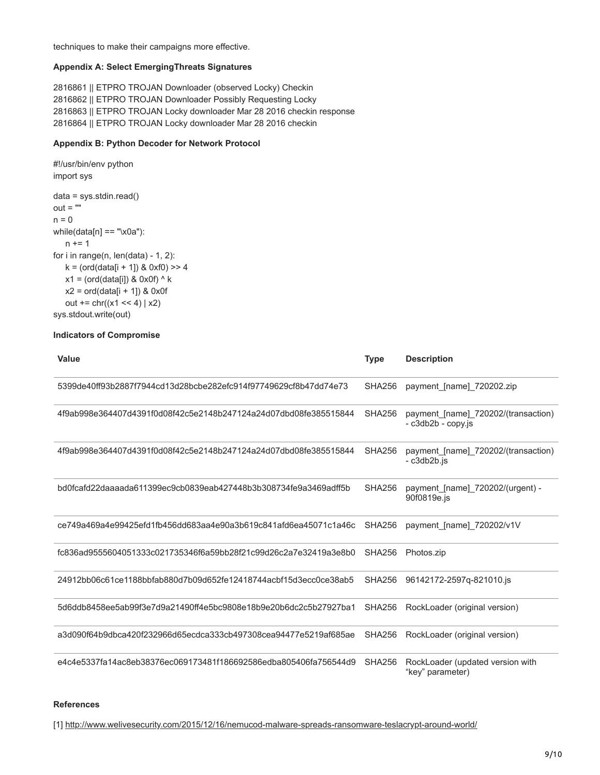techniques to make their campaigns more effective.

#### **Appendix A: Select EmergingThreats Signatures**

2816861 || ETPRO TROJAN Downloader (observed Locky) Checkin 2816862 || ETPRO TROJAN Downloader Possibly Requesting Locky 2816863 || ETPRO TROJAN Locky downloader Mar 28 2016 checkin response 2816864 || ETPRO TROJAN Locky downloader Mar 28 2016 checkin

#### **Appendix B: Python Decoder for Network Protocol**

#!/usr/bin/env python import sys data = sys.stdin.read()  $out = "$  $n = 0$  $while(data[n] == "x0a")$ :  $n += 1$ for i in range(n,  $len(data) - 1$ , 2):  $k = (ord(data[i + 1]) & 0 \times 0 \times 0) >> 4$  $x1 = (ord(data[i]) & 0x0f)$  ^ k  $x2 = ord(data[i + 1])$  & 0x0f out  $+= \text{chr}((x1 \leq 4) | x2)$ sys.stdout.write(out)

### **Indicators of Compromise**

| <b>Value</b>                                                     | <b>Type</b>   | <b>Description</b>                                        |
|------------------------------------------------------------------|---------------|-----------------------------------------------------------|
| 5399de40ff93b2887f7944cd13d28bcbe282efc914f97749629cf8b47dd74e73 | <b>SHA256</b> | payment [name] 720202.zip                                 |
| 4f9ab998e364407d4391f0d08f42c5e2148b247124a24d07dbd08fe385515844 | SHA256        | payment [name] 720202/(transaction)<br>- c3db2b - copy.js |
| 4f9ab998e364407d4391f0d08f42c5e2148b247124a24d07dbd08fe385515844 | <b>SHA256</b> | payment [name] 720202/(transaction)<br>- c3db2b.js        |
| bd0fcafd22daaaada611399ec9cb0839eab427448b3b308734fe9a3469adff5b | <b>SHA256</b> | payment [name] 720202/(urgent) -<br>90f0819e.js           |
| ce749a469a4e99425efd1fb456dd683aa4e90a3b619c841afd6ea45071c1a46c | SHA256        | payment [name] 720202/v1V                                 |
| fc836ad9555604051333c021735346f6a59bb28f21c99d26c2a7e32419a3e8b0 | <b>SHA256</b> | Photos.zip                                                |
| 24912bb06c61ce1188bbfab880d7b09d652fe12418744acbf15d3ecc0ce38ab5 | <b>SHA256</b> | 96142172-2597q-821010.js                                  |
| 5d6ddb8458ee5ab99f3e7d9a21490ff4e5bc9808e18b9e20b6dc2c5b27927ba1 | <b>SHA256</b> | RockLoader (original version)                             |
| a3d090f64b9dbca420f232966d65ecdca333cb497308cea94477e5219af685ae | <b>SHA256</b> | RockLoader (original version)                             |
| e4c4e5337fa14ac8eb38376ec069173481f186692586edba805406fa756544d9 | <b>SHA256</b> | RockLoader (updated version with<br>"key" parameter)      |

#### **References**

[1] <http://www.welivesecurity.com/2015/12/16/nemucod-malware-spreads-ransomware-teslacrypt-around-world/>